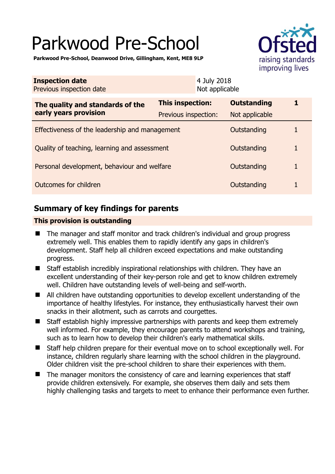# Parkwood Pre-School



**Parkwood Pre-School, Deanwood Drive, Gillingham, Kent, ME8 9LP** 

| <b>Inspection date</b><br>Previous inspection date        | 4 July 2018<br>Not applicable |                    |   |
|-----------------------------------------------------------|-------------------------------|--------------------|---|
| The quality and standards of the<br>early years provision | This inspection:              | <b>Outstanding</b> | 1 |
|                                                           | Previous inspection:          | Not applicable     |   |
| Effectiveness of the leadership and management            |                               | Outstanding        |   |
| Quality of teaching, learning and assessment              |                               | Outstanding        | 1 |
| Personal development, behaviour and welfare               |                               | Outstanding        |   |
| Outcomes for children<br>Outstanding                      |                               |                    |   |

# **Summary of key findings for parents**

## **This provision is outstanding**

- The manager and staff monitor and track children's individual and group progress extremely well. This enables them to rapidly identify any gaps in children's development. Staff help all children exceed expectations and make outstanding progress.
- Staff establish incredibly inspirational relationships with children. They have an excellent understanding of their key-person role and get to know children extremely well. Children have outstanding levels of well-being and self-worth.
- All children have outstanding opportunities to develop excellent understanding of the importance of healthy lifestyles. For instance, they enthusiastically harvest their own snacks in their allotment, such as carrots and courgettes.
- Staff establish highly impressive partnerships with parents and keep them extremely well informed. For example, they encourage parents to attend workshops and training, such as to learn how to develop their children's early mathematical skills.
- Staff help children prepare for their eventual move on to school exceptionally well. For instance, children regularly share learning with the school children in the playground. Older children visit the pre-school children to share their experiences with them.
- The manager monitors the consistency of care and learning experiences that staff provide children extensively. For example, she observes them daily and sets them highly challenging tasks and targets to meet to enhance their performance even further.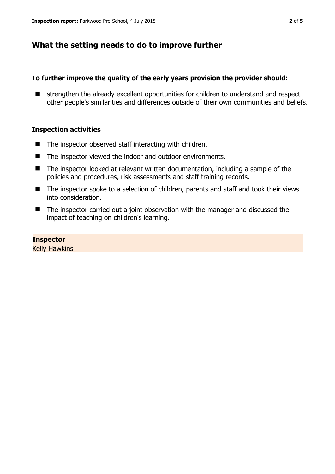# **What the setting needs to do to improve further**

### **To further improve the quality of the early years provision the provider should:**

 $\blacksquare$  strengthen the already excellent opportunities for children to understand and respect other people's similarities and differences outside of their own communities and beliefs.

## **Inspection activities**

- $\blacksquare$  The inspector observed staff interacting with children.
- The inspector viewed the indoor and outdoor environments.
- $\blacksquare$  The inspector looked at relevant written documentation, including a sample of the policies and procedures, risk assessments and staff training records.
- The inspector spoke to a selection of children, parents and staff and took their views into consideration.
- The inspector carried out a joint observation with the manager and discussed the impact of teaching on children's learning.

**Inspector** 

Kelly Hawkins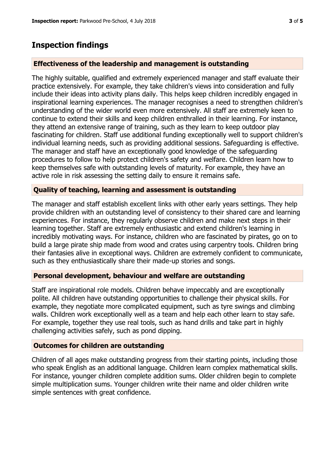## **Inspection findings**

#### **Effectiveness of the leadership and management is outstanding**

The highly suitable, qualified and extremely experienced manager and staff evaluate their practice extensively. For example, they take children's views into consideration and fully include their ideas into activity plans daily. This helps keep children incredibly engaged in inspirational learning experiences. The manager recognises a need to strengthen children's understanding of the wider world even more extensively. All staff are extremely keen to continue to extend their skills and keep children enthralled in their learning. For instance, they attend an extensive range of training, such as they learn to keep outdoor play fascinating for children. Staff use additional funding exceptionally well to support children's individual learning needs, such as providing additional sessions. Safeguarding is effective. The manager and staff have an exceptionally good knowledge of the safeguarding procedures to follow to help protect children's safety and welfare. Children learn how to keep themselves safe with outstanding levels of maturity. For example, they have an active role in risk assessing the setting daily to ensure it remains safe.

#### **Quality of teaching, learning and assessment is outstanding**

The manager and staff establish excellent links with other early years settings. They help provide children with an outstanding level of consistency to their shared care and learning experiences. For instance, they regularly observe children and make next steps in their learning together. Staff are extremely enthusiastic and extend children's learning in incredibly motivating ways. For instance, children who are fascinated by pirates, go on to build a large pirate ship made from wood and crates using carpentry tools. Children bring their fantasies alive in exceptional ways. Children are extremely confident to communicate, such as they enthusiastically share their made-up stories and songs.

#### **Personal development, behaviour and welfare are outstanding**

Staff are inspirational role models. Children behave impeccably and are exceptionally polite. All children have outstanding opportunities to challenge their physical skills. For example, they negotiate more complicated equipment, such as tyre swings and climbing walls. Children work exceptionally well as a team and help each other learn to stay safe. For example, together they use real tools, such as hand drills and take part in highly challenging activities safely, such as pond dipping.

#### **Outcomes for children are outstanding**

Children of all ages make outstanding progress from their starting points, including those who speak English as an additional language. Children learn complex mathematical skills. For instance, younger children complete addition sums. Older children begin to complete simple multiplication sums. Younger children write their name and older children write simple sentences with great confidence.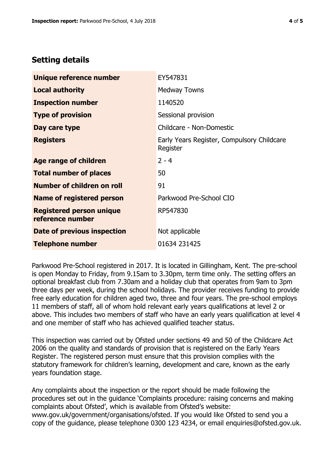# **Setting details**

| Unique reference number                             | EY547831                                               |  |
|-----------------------------------------------------|--------------------------------------------------------|--|
| <b>Local authority</b>                              | <b>Medway Towns</b>                                    |  |
| <b>Inspection number</b>                            | 1140520                                                |  |
| <b>Type of provision</b>                            | Sessional provision                                    |  |
| Day care type                                       | Childcare - Non-Domestic                               |  |
| <b>Registers</b>                                    | Early Years Register, Compulsory Childcare<br>Register |  |
| Age range of children                               | $2 - 4$                                                |  |
| <b>Total number of places</b>                       | 50                                                     |  |
| Number of children on roll                          | 91                                                     |  |
| Name of registered person                           | Parkwood Pre-School CIO                                |  |
| <b>Registered person unique</b><br>reference number | RP547830                                               |  |
| Date of previous inspection                         | Not applicable                                         |  |
| <b>Telephone number</b>                             | 01634 231425                                           |  |

Parkwood Pre-School registered in 2017. It is located in Gillingham, Kent. The pre-school is open Monday to Friday, from 9.15am to 3.30pm, term time only. The setting offers an optional breakfast club from 7.30am and a holiday club that operates from 9am to 3pm three days per week, during the school holidays. The provider receives funding to provide free early education for children aged two, three and four years. The pre-school employs 11 members of staff, all of whom hold relevant early years qualifications at level 2 or above. This includes two members of staff who have an early years qualification at level 4 and one member of staff who has achieved qualified teacher status.

This inspection was carried out by Ofsted under sections 49 and 50 of the Childcare Act 2006 on the quality and standards of provision that is registered on the Early Years Register. The registered person must ensure that this provision complies with the statutory framework for children's learning, development and care, known as the early years foundation stage.

Any complaints about the inspection or the report should be made following the procedures set out in the guidance 'Complaints procedure: raising concerns and making complaints about Ofsted', which is available from Ofsted's website: www.gov.uk/government/organisations/ofsted. If you would like Ofsted to send you a copy of the guidance, please telephone 0300 123 4234, or email enquiries@ofsted.gov.uk.